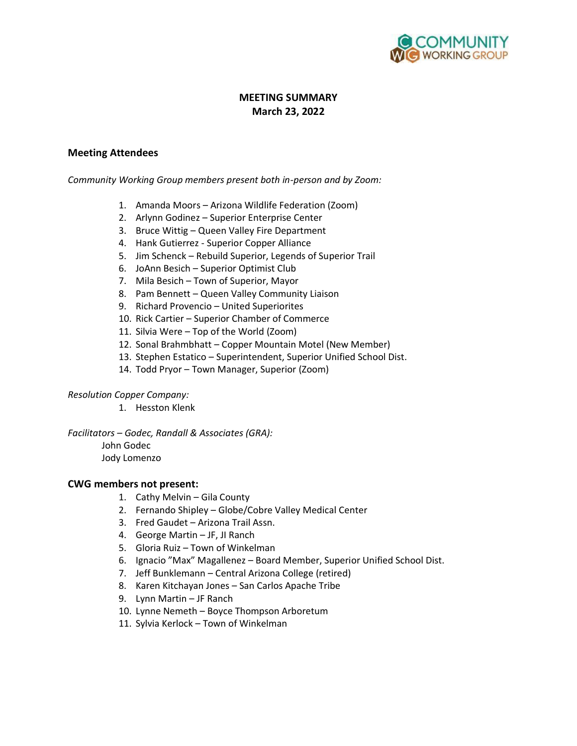

# **MEETING SUMMARY March 23, 2022**

### **Meeting Attendees**

#### *Community Working Group members present both in-person and by Zoom:*

- 1. Amanda Moors Arizona Wildlife Federation (Zoom)
- 2. Arlynn Godinez Superior Enterprise Center
- 3. Bruce Wittig Queen Valley Fire Department
- 4. Hank Gutierrez Superior Copper Alliance
- 5. Jim Schenck Rebuild Superior, Legends of Superior Trail
- 6. JoAnn Besich Superior Optimist Club
- 7. Mila Besich Town of Superior, Mayor
- 8. Pam Bennett Queen Valley Community Liaison
- 9. Richard Provencio United Superiorites
- 10. Rick Cartier Superior Chamber of Commerce
- 11. Silvia Were Top of the World (Zoom)
- 12. Sonal Brahmbhatt Copper Mountain Motel (New Member)
- 13. Stephen Estatico Superintendent, Superior Unified School Dist.
- 14. Todd Pryor Town Manager, Superior (Zoom)

#### *Resolution Copper Company:*

1. Hesston Klenk

*Facilitators – Godec, Randall & Associates (GRA):*

## John Godec

Jody Lomenzo

### **CWG members not present:**

- 1. Cathy Melvin Gila County
- 2. Fernando Shipley Globe/Cobre Valley Medical Center
- 3. Fred Gaudet Arizona Trail Assn.
- 4. George Martin JF, JI Ranch
- 5. Gloria Ruiz Town of Winkelman
- 6. Ignacio "Max" Magallenez Board Member, Superior Unified School Dist.
- 7. Jeff Bunklemann Central Arizona College (retired)
- 8. Karen Kitchayan Jones San Carlos Apache Tribe
- 9. Lynn Martin JF Ranch
- 10. Lynne Nemeth Boyce Thompson Arboretum
- 11. Sylvia Kerlock Town of Winkelman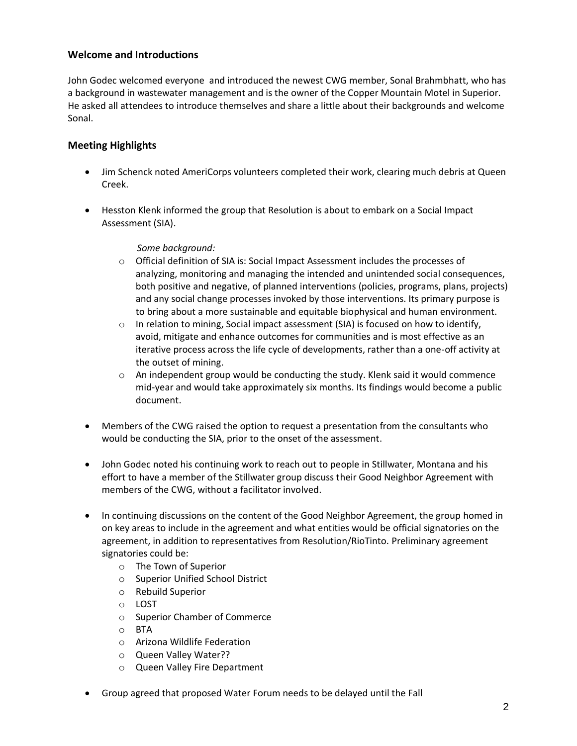## **Welcome and Introductions**

John Godec welcomed everyone and introduced the newest CWG member, Sonal Brahmbhatt, who has a background in wastewater management and is the owner of the Copper Mountain Motel in Superior. He asked all attendees to introduce themselves and share a little about their backgrounds and welcome Sonal.

# **Meeting Highlights**

- Jim Schenck noted AmeriCorps volunteers completed their work, clearing much debris at Queen Creek.
- Hesston Klenk informed the group that Resolution is about to embark on a Social Impact Assessment (SIA).

*Some background:*

- o Official definition of SIA is: Social Impact Assessment includes the processes of analyzing, monitoring and managing the intended and unintended social consequences, both positive and negative, of planned interventions (policies, programs, plans, projects) and any social change processes invoked by those interventions. Its primary purpose is to bring about a more sustainable and equitable biophysical and human environment.
- $\circ$  In relation to mining, Social impact assessment (SIA) is focused on how to identify, avoid, mitigate and enhance outcomes for communities and is most effective as an iterative process across the life cycle of developments, rather than a one-off activity at the outset of mining.
- $\circ$  An independent group would be conducting the study. Klenk said it would commence mid-year and would take approximately six months. Its findings would become a public document.
- Members of the CWG raised the option to request a presentation from the consultants who would be conducting the SIA, prior to the onset of the assessment.
- John Godec noted his continuing work to reach out to people in Stillwater, Montana and his effort to have a member of the Stillwater group discuss their Good Neighbor Agreement with members of the CWG, without a facilitator involved.
- In continuing discussions on the content of the Good Neighbor Agreement, the group homed in on key areas to include in the agreement and what entities would be official signatories on the agreement, in addition to representatives from Resolution/RioTinto. Preliminary agreement signatories could be:
	- o The Town of Superior
	- o Superior Unified School District
	- o Rebuild Superior
	- o LOST
	- o Superior Chamber of Commerce
	- o BTA
	- o Arizona Wildlife Federation
	- o Queen Valley Water??
	- o Queen Valley Fire Department
- Group agreed that proposed Water Forum needs to be delayed until the Fall